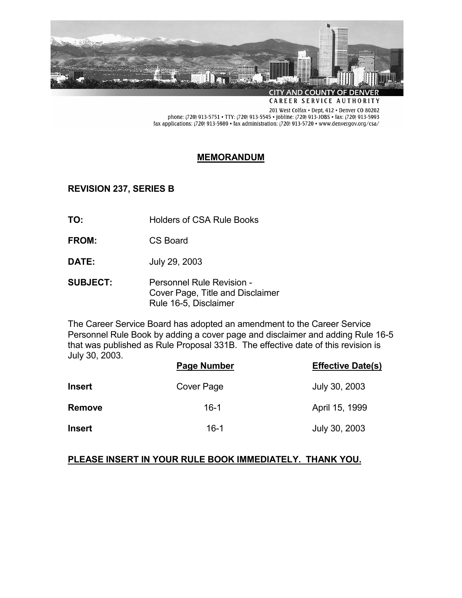

CAREER SERVICE AUTHORITY

201 West Colfax · Dept, 412 · Denver CO 80202 phone: (720) 913-5751 • TTY: (720) 913-5545 • jobline: (720) 913-JOBS • fax: (720) 913-5993 fax applications: (720) 913-5989 • fax administration: (720) 913-5720 • www.denvergov.org/csa/

### **MEMORANDUM**

**REVISION 237, SERIES B** 

- **TO:** Holders of CSA Rule Books
- **FROM:** CS Board
- **DATE:** July 29, 2003
- **SUBJECT:** Personnel Rule Revision Cover Page, Title and Disclaimer Rule 16-5, Disclaimer

The Career Service Board has adopted an amendment to the Career Service Personnel Rule Book by adding a cover page and disclaimer and adding Rule 16-5 that was published as Rule Proposal 331B. The effective date of this revision is July 30, 2003.

|               | Page Number | <b>Effective Date(s)</b> |
|---------------|-------------|--------------------------|
| <b>Insert</b> | Cover Page  | July 30, 2003            |
| <b>Remove</b> | 16-1        | April 15, 1999           |
| <b>Insert</b> | 16-1        | July 30, 2003            |

## **PLEASE INSERT IN YOUR RULE BOOK IMMEDIATELY. THANK YOU.**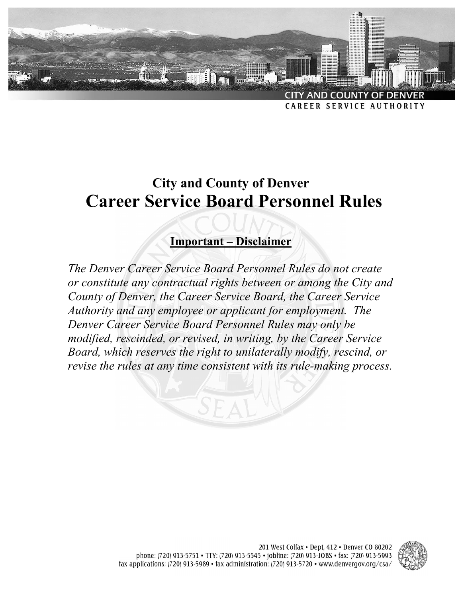

# **City and County of Denver Career Service Board Personnel Rules**

# **Important – Disclaimer**

*The Denver Career Service Board Personnel Rules do not create or constitute any contractual rights between or among the City and County of Denver, the Career Service Board, the Career Service Authority and any employee or applicant for employment. The Denver Career Service Board Personnel Rules may only be modified, rescinded, or revised, in writing, by the Career Service Board, which reserves the right to unilaterally modify, rescind, or revise the rules at any time consistent with its rule-making process.*